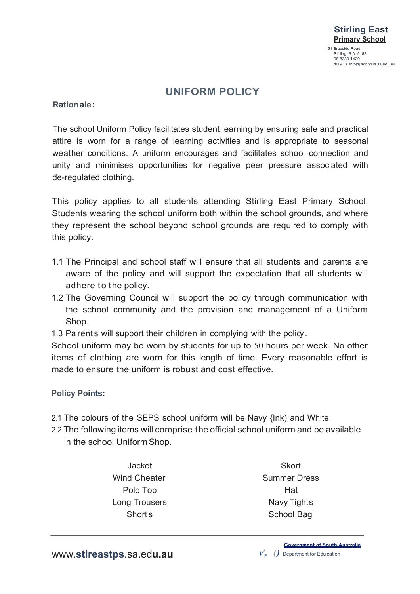

## **UNIFORM POLICY**

**Rationale:**

The school Uniform Policy facilitates student learning by ensuring safe and practical attire is worn for a range of learning activities and is appropriate to seasonal weather conditions. A uniform encourages and facilitates school connection and unity and minimises opportunities for negative peer pressure associated with de-regulated clothing.

This policy applies to all students attending Stirling East Primary School. Students wearing the school uniform both within the school grounds, and where they represent the school beyond school grounds are required to comply with this policy.

- 1.1 The Principal and school staff will ensure that all students and parents are aware of the policy and will support the expectation that all students will adhere to the policy.
- 1.2 The Governing Council will support the policy through communication with the school community and the provision and management of a Uniform Shop.
- 1.3 Pa rents will support their children in complying with the policy.

School uniform may be worn by students for up to 50 hours per week. No other items of clothing are worn for this length of time. Every reasonable effort is made to ensure the uniform is robust and cost effective.

**Policy Points:**

- 2.1 The colours of the SEPS school uniform will be Navy {Ink) and White.
- 2.2 The following items will comprise the official school uniform and be available in the school Uniform Shop.
	- Jacket Wind Cheater Polo Top Long Trousers Short s

**Skort** Summer Dress Hat Navy Tights School Bag

**Government of South Australia** *v',. ()* Department for Edu cation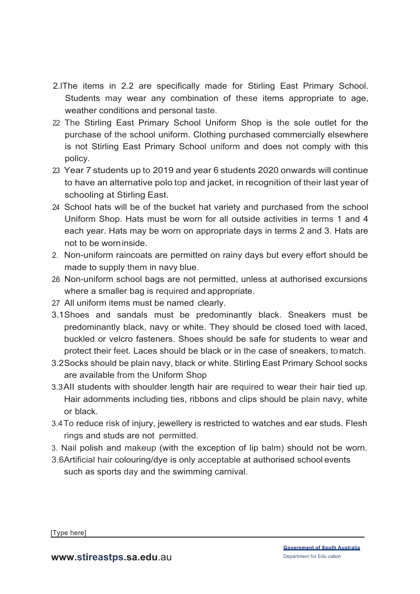- 2.lThe items in 2.2 are specifically made for Stirling East Primary School. Students may wear any combination of these items appropriate to age, weather conditions and personal taste.
- 22 The Stirling East Primary School Uniform Shop is the sole outlet for the purchase of the school uniform. Clothing purchased commercially elsewhere is not Stirling East Primary School uniform and does not comply with this policy.
- 2.3 Year 7 students up to 2019 and year 6 students 2020 onwards will continue to have an alternative polo top and jacket, in recognition of their last year of schooling at Stirling East.
- 24 School hats will be of the bucket hat variety and purchased from the school Uniform Shop. Hats must be worn for all outside activities in terms 1 and 4 each year. Hats may be worn on appropriate days in terms 2 and 3. Hats are not to be worninside.
- 2. Non-uniform raincoats are permitted on rainy days but every effort should be made to supply them in navy blue.
- 26 Non-uniform school bags are not permitted, unless at authorised excursions where a smaller bag is required and appropriate.
- 2.7 All uniform items must be named clearly.
- 3.1Shoes and sandals must be predominantly black. Sneakers must be predominantly black, navy or white. They should be closed toed with laced, buckled or velcro fasteners. Shoes should be safe for students to wear and protect their feet. Laces should be black or in the case of sneakers, to match.
- 3.2Socks should be plain navy, black or white. Stirling East Primary School socks are available from the Uniform Shop
- 3.3AII students with shoulder length hair are required to wear their hair tied up. Hair adornments including ties, ribbons and clips should be plain navy, white or black.
- 3.4To reduce risk of injury, jewellery is restricted to watches and ear studs. Flesh rings and studs are not permitted.
- 3. Nail polish and makeup (with the exception of lip balm) should not be worn.
- 3.6Artificial hair colouring/dye is only acceptable at authorised school events such as sports day and the swimming carnival.

[Type here]

**www.stireastps.sa.edu.au** Department for Edu cation